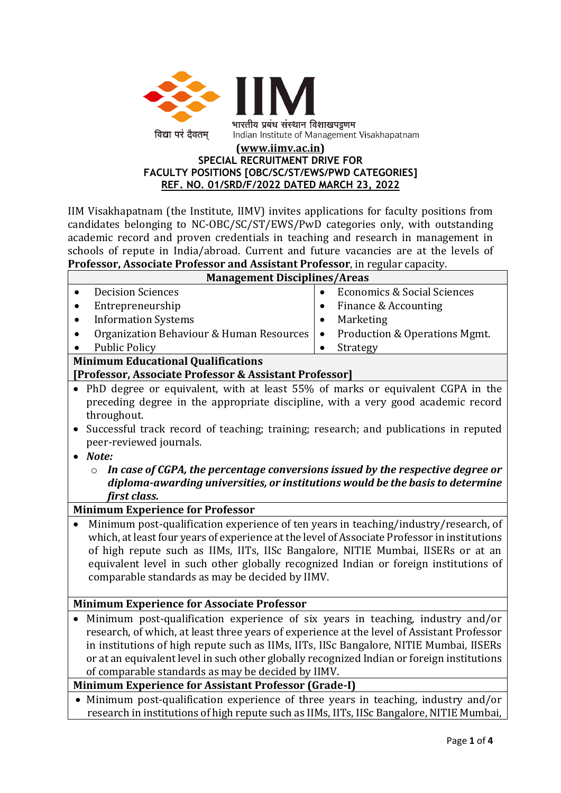

#### **[\(www.iimv.ac.in\)](http://www.iimv.ac.in/) SPECIAL RECRUITMENT DRIVE FOR FACULTY POSITIONS [OBC/SC/ST/EWS/PWD CATEGORIES] REF. NO. 01/SRD/F/2022 DATED MARCH 23, 2022**

IIM Visakhapatnam (the Institute, IIMV) invites applications for faculty positions from candidates belonging to NC-OBC/SC/ST/EWS/PwD categories only, with outstanding academic record and proven credentials in teaching and research in management in schools of repute in India/abroad. Current and future vacancies are at the levels of **Professor, Associate Professor and Assistant Professor**, in regular capacity.

| <b>Management Disciplines/Areas</b>                                                                                                                                               |                                                     |
|-----------------------------------------------------------------------------------------------------------------------------------------------------------------------------------|-----------------------------------------------------|
| <b>Decision Sciences</b>                                                                                                                                                          | <b>Economics &amp; Social Sciences</b><br>$\bullet$ |
| Entrepreneurship                                                                                                                                                                  | Finance & Accounting                                |
| <b>Information Systems</b>                                                                                                                                                        | Marketing<br>$\bullet$                              |
| Organization Behaviour & Human Resources                                                                                                                                          | Production & Operations Mgmt.<br>$\bullet$          |
| <b>Public Policy</b>                                                                                                                                                              | Strategy                                            |
| <b>Minimum Educational Qualifications</b>                                                                                                                                         |                                                     |
| [Professor, Associate Professor & Assistant Professor]                                                                                                                            |                                                     |
| PhD degree or equivalent, with at least 55% of marks or equivalent CGPA in the<br>preceding degree in the appropriate discipline, with a very good academic record<br>throughout. |                                                     |
| Successful track record of teaching; training; research; and publications in reputed<br>$\bullet$<br>peer-reviewed journals.                                                      |                                                     |
| Note:                                                                                                                                                                             |                                                     |
| In case of CGPA, the percentage conversions issued by the respective degree or<br>$\circ$                                                                                         |                                                     |
| diploma-awarding universities, or institutions would be the basis to determine                                                                                                    |                                                     |
| first class.                                                                                                                                                                      |                                                     |
| <b>Minimum Experience for Professor</b>                                                                                                                                           |                                                     |
| Minimum post-qualification experience of ten years in teaching/industry/research, of                                                                                              |                                                     |
| which, at least four years of experience at the level of Associate Professor in institutions                                                                                      |                                                     |
| of high repute such as IIMs, IITs, IISc Bangalore, NITIE Mumbai, IISERs or at an                                                                                                  |                                                     |
| equivalent level in such other globally recognized Indian or foreign institutions of                                                                                              |                                                     |
| comparable standards as may be decided by IIMV.                                                                                                                                   |                                                     |
| <b>Minimum Experience for Associate Professor</b>                                                                                                                                 |                                                     |
|                                                                                                                                                                                   |                                                     |
| Minimum post-qualification experience of six years in teaching, industry and/or<br>research, of which, at least three years of experience at the level of Assistant Professor     |                                                     |
| in institutions of high repute such as IIMs, IITs, IISc Bangalore, NITIE Mumbai, IISERs                                                                                           |                                                     |
| or at an equivalent level in such other globally recognized Indian or foreign institutions                                                                                        |                                                     |

of comparable standards as may be decided by IIMV.

**Minimum Experience for Assistant Professor (Grade-I)** 

• Minimum post-qualification experience of three years in teaching, industry and/or research in institutions of high repute such as IIMs, IITs, IISc Bangalore, NITIE Mumbai,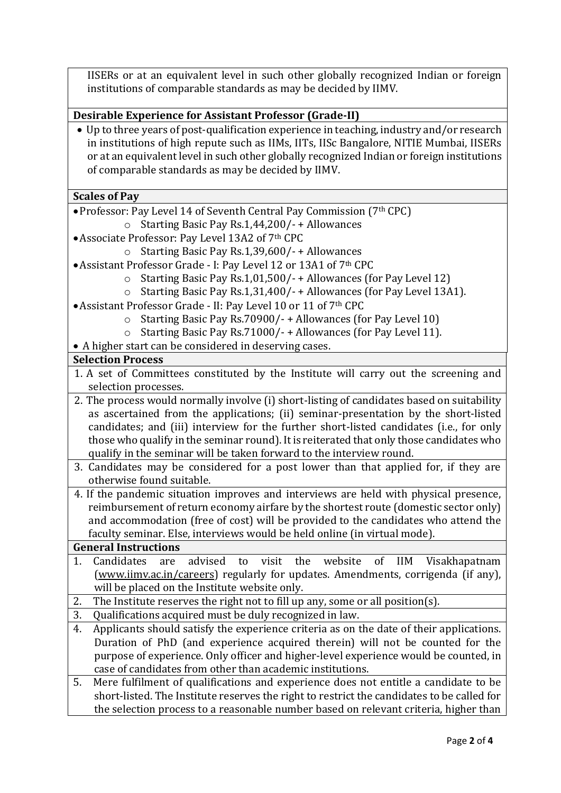IISERs or at an equivalent level in such other globally recognized Indian or foreign institutions of comparable standards as may be decided by IIMV.

# **Desirable Experience for Assistant Professor (Grade-II)**

• Up to three years of post-qualification experience in teaching, industry and/or research in institutions of high repute such as IIMs, IITs, IISc Bangalore, NITIE Mumbai, IISERs or at an equivalent level in such other globally recognized Indian or foreign institutions of comparable standards as may be decided by IIMV.

### **Scales of Pay**

- •Professor: Pay Level 14 of Seventh Central Pay Commission (7th CPC)
	- o Starting Basic Pay Rs.1,44,200/- + Allowances
- •Associate Professor: Pay Level 13A2 of 7th CPC
	- o Starting Basic Pay Rs.1,39,600/- + Allowances
- •Assistant Professor Grade I: Pay Level 12 or 13A1 of 7th CPC
	- o Starting Basic Pay Rs.1,01,500/- + Allowances (for Pay Level 12)
	- o Starting Basic Pay Rs.1,31,400/- + Allowances (for Pay Level 13A1).
- •Assistant Professor Grade II: Pay Level 10 or 11 of 7th CPC
	- o Starting Basic Pay Rs.70900/- + Allowances (for Pay Level 10)
	- o Starting Basic Pay Rs.71000/- + Allowances (for Pay Level 11).
- A higher start can be considered in deserving cases.

### **Selection Process**

- 1. A set of Committees constituted by the Institute will carry out the screening and selection processes.
- 2. The process would normally involve (i) short-listing of candidates based on suitability as ascertained from the applications; (ii) seminar-presentation by the short-listed candidates; and (iii) interview for the further short-listed candidates (i.e., for only those who qualify in the seminar round). It is reiterated that only those candidates who qualify in the seminar will be taken forward to the interview round.
- 3. Candidates may be considered for a post lower than that applied for, if they are otherwise found suitable.
- 4. If the pandemic situation improves and interviews are held with physical presence, reimbursement of return economy airfare by the shortest route (domestic sector only) and accommodation (free of cost) will be provided to the candidates who attend the faculty seminar. Else, interviews would be held online (in virtual mode).

### **General Instructions**

- 1. Candidates are advised to visit the website of IIM Visakhapatnam [\(www.iimv.ac.in/careers\)](http://www.iimv.ac.in/careers) regularly for updates. Amendments, corrigenda (if any), will be placed on the Institute website only.
- 2. The Institute reserves the right not to fill up any, some or all position(s).
- 3. Qualifications acquired must be duly recognized in law.
- 4. Applicants should satisfy the experience criteria as on the date of their applications. Duration of PhD (and experience acquired therein) will not be counted for the purpose of experience. Only officer and higher-level experience would be counted, in case of candidates from other than academic institutions.
- 5. Mere fulfilment of qualifications and experience does not entitle a candidate to be short-listed. The Institute reserves the right to restrict the candidates to be called for the selection process to a reasonable number based on relevant criteria, higher than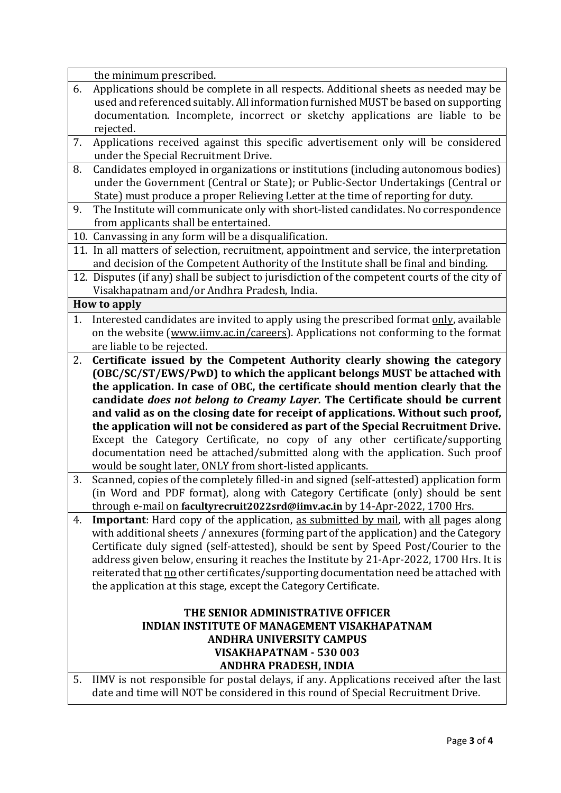the minimum prescribed.

- 6. Applications should be complete in all respects. Additional sheets as needed may be used and referenced suitably. All information furnished MUST be based on supporting documentation. Incomplete, incorrect or sketchy applications are liable to be rejected.
- 7. Applications received against this specific advertisement only will be considered under the Special Recruitment Drive.
- 8. Candidates employed in organizations or institutions (including autonomous bodies) under the Government (Central or State); or Public-Sector Undertakings (Central or State) must produce a proper Relieving Letter at the time of reporting for duty.
- 9. The Institute will communicate only with short-listed candidates. No correspondence from applicants shall be entertained.
- 10. Canvassing in any form will be a disqualification.
- 11. In all matters of selection, recruitment, appointment and service, the interpretation and decision of the Competent Authority of the Institute shall be final and binding.
- 12. Disputes (if any) shall be subject to jurisdiction of the competent courts of the city of Visakhapatnam and/or Andhra Pradesh, India.

### **How to apply**

- 1. Interested candidates are invited to apply using the prescribed format only, available on the website [\(www.iimv.ac.in/careers\)](http://www.iimv.ac.in/careers). Applications not conforming to the format are liable to be rejected.
- 2. **Certificate issued by the Competent Authority clearly showing the category (OBC/SC/ST/EWS/PwD) to which the applicant belongs MUST be attached with the application. In case of OBC, the certificate should mention clearly that the candidate** *does not belong to Creamy Layer.* **The Certificate should be current and valid as on the closing date for receipt of applications. Without such proof, the application will not be considered as part of the Special Recruitment Drive.**  Except the Category Certificate, no copy of any other certificate/supporting documentation need be attached/submitted along with the application. Such proof would be sought later, ONLY from short-listed applicants.
- 3. Scanned, copies of the completely filled-in and signed (self-attested) application form (in Word and PDF format), along with Category Certificate (only) should be sent through e-mail on **facultyrecruit2022srd@iimv.ac.in** by 14-Apr-2022, 1700 Hrs.
- 4. **Important**: Hard copy of the application, as submitted by mail, with all pages along with additional sheets / annexures (forming part of the application) and the Category Certificate duly signed (self-attested), should be sent by Speed Post/Courier to the address given below, ensuring it reaches the Institute by 21-Apr-2022, 1700 Hrs. It is reiterated that no other certificates/supporting documentation need be attached with the application at this stage, except the Category Certificate.

## **THE SENIOR ADMINISTRATIVE OFFICER INDIAN INSTITUTE OF MANAGEMENT VISAKHAPATNAM ANDHRA UNIVERSITY CAMPUS VISAKHAPATNAM - 530 003 ANDHRA PRADESH, INDIA**

5. IIMV is not responsible for postal delays, if any. Applications received after the last date and time will NOT be considered in this round of Special Recruitment Drive.